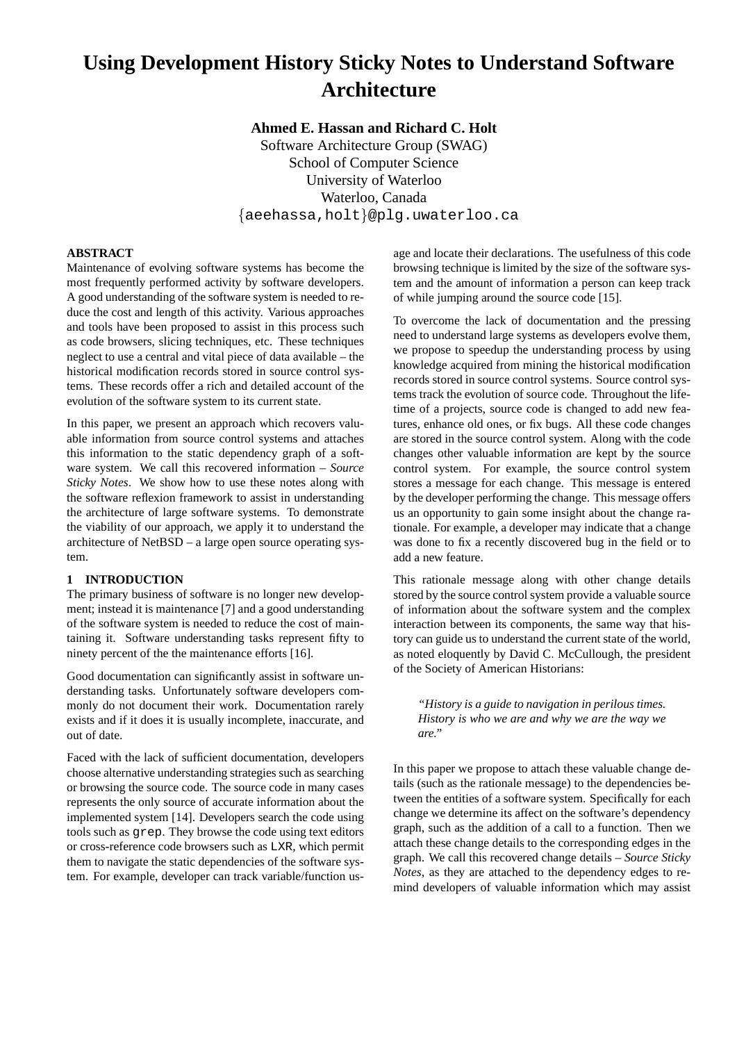# **Using Development History Sticky Notes to Understand Software Architecture**

**Ahmed E. Hassan and Richard C. Holt** Software Architecture Group (SWAG) School of Computer Science University of Waterloo Waterloo, Canada {aeehassa,holt}@plg.uwaterloo.ca

# **ABSTRACT**

Maintenance of evolving software systems has become the most frequently performed activity by software developers. A good understanding of the software system is needed to reduce the cost and length of this activity. Various approaches and tools have been proposed to assist in this process such as code browsers, slicing techniques, etc. These techniques neglect to use a central and vital piece of data available – the historical modification records stored in source control systems. These records offer a rich and detailed account of the evolution of the software system to its current state.

In this paper, we present an approach which recovers valuable information from source control systems and attaches this information to the static dependency graph of a software system. We call this recovered information – *Source Sticky Notes*. We show how to use these notes along with the software reflexion framework to assist in understanding the architecture of large software systems. To demonstrate the viability of our approach, we apply it to understand the architecture of NetBSD – a large open source operating system.

#### **1 INTRODUCTION**

The primary business of software is no longer new development; instead it is maintenance [7] and a good understanding of the software system is needed to reduce the cost of maintaining it. Software understanding tasks represent fifty to ninety percent of the the maintenance efforts [16].

Good documentation can significantly assist in software understanding tasks. Unfortunately software developers commonly do not document their work. Documentation rarely exists and if it does it is usually incomplete, inaccurate, and out of date.

Faced with the lack of sufficient documentation, developers choose alternative understanding strategies such as searching or browsing the source code. The source code in many cases represents the only source of accurate information about the implemented system [14]. Developers search the code using tools such as grep. They browse the code using text editors or cross-reference code browsers such as LXR, which permit them to navigate the static dependencies of the software system. For example, developer can track variable/function usage and locate their declarations. The usefulness of this code browsing technique is limited by the size of the software system and the amount of information a person can keep track of while jumping around the source code [15].

To overcome the lack of documentation and the pressing need to understand large systems as developers evolve them, we propose to speedup the understanding process by using knowledge acquired from mining the historical modification records stored in source control systems. Source control systems track the evolution of source code. Throughout the lifetime of a projects, source code is changed to add new features, enhance old ones, or fix bugs. All these code changes are stored in the source control system. Along with the code changes other valuable information are kept by the source control system. For example, the source control system stores a message for each change. This message is entered by the developer performing the change. This message offers us an opportunity to gain some insight about the change rationale. For example, a developer may indicate that a change was done to fix a recently discovered bug in the field or to add a new feature.

This rationale message along with other change details stored by the source control system provide a valuable source of information about the software system and the complex interaction between its components, the same way that history can guide us to understand the current state of the world, as noted eloquently by David C. McCullough, the president of the Society of American Historians:

*"History is a guide to navigation in perilous times. History is who we are and why we are the way we are."*

In this paper we propose to attach these valuable change details (such as the rationale message) to the dependencies between the entities of a software system. Specifically for each change we determine its affect on the software's dependency graph, such as the addition of a call to a function. Then we attach these change details to the corresponding edges in the graph. We call this recovered change details – *Source Sticky Notes*, as they are attached to the dependency edges to remind developers of valuable information which may assist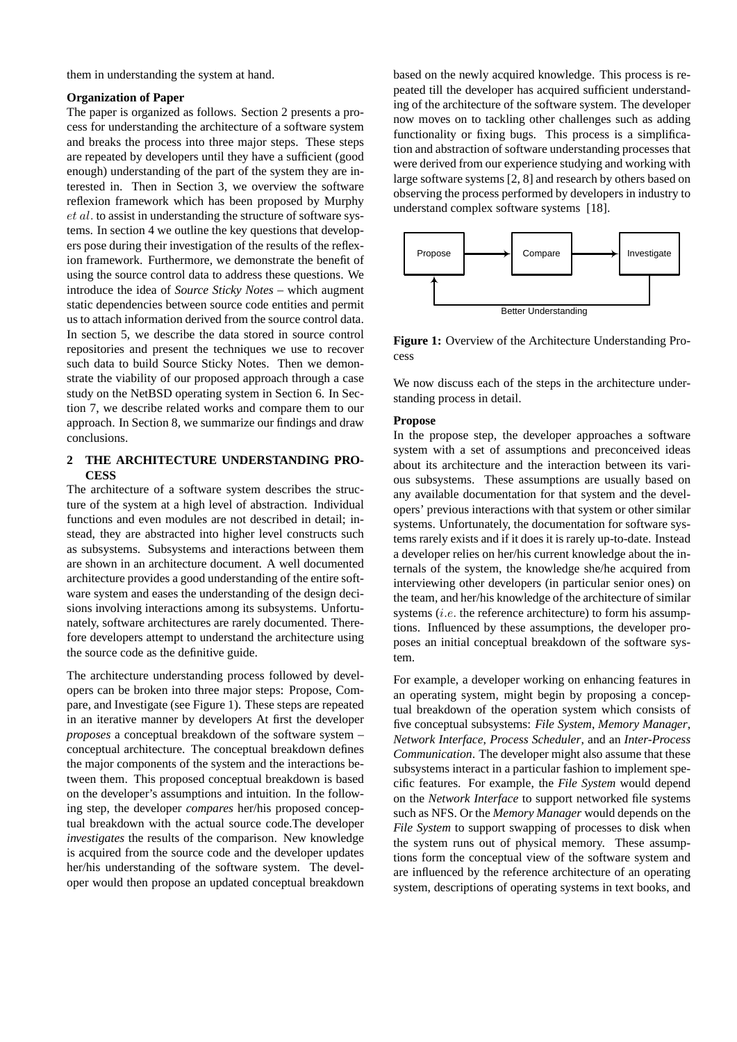them in understanding the system at hand.

#### **Organization of Paper**

The paper is organized as follows. Section 2 presents a process for understanding the architecture of a software system and breaks the process into three major steps. These steps are repeated by developers until they have a sufficient (good enough) understanding of the part of the system they are interested in. Then in Section 3, we overview the software reflexion framework which has been proposed by Murphy et al. to assist in understanding the structure of software systems. In section 4 we outline the key questions that developers pose during their investigation of the results of the reflexion framework. Furthermore, we demonstrate the benefit of using the source control data to address these questions. We introduce the idea of *Source Sticky Notes* – which augment static dependencies between source code entities and permit us to attach information derived from the source control data. In section 5, we describe the data stored in source control repositories and present the techniques we use to recover such data to build Source Sticky Notes. Then we demonstrate the viability of our proposed approach through a case study on the NetBSD operating system in Section 6. In Section 7, we describe related works and compare them to our approach. In Section 8, we summarize our findings and draw conclusions.

# **2 THE ARCHITECTURE UNDERSTANDING PRO-CESS**

The architecture of a software system describes the structure of the system at a high level of abstraction. Individual functions and even modules are not described in detail; instead, they are abstracted into higher level constructs such as subsystems. Subsystems and interactions between them are shown in an architecture document. A well documented architecture provides a good understanding of the entire software system and eases the understanding of the design decisions involving interactions among its subsystems. Unfortunately, software architectures are rarely documented. Therefore developers attempt to understand the architecture using the source code as the definitive guide.

The architecture understanding process followed by developers can be broken into three major steps: Propose, Compare, and Investigate (see Figure 1). These steps are repeated in an iterative manner by developers At first the developer *proposes* a conceptual breakdown of the software system – conceptual architecture. The conceptual breakdown defines the major components of the system and the interactions between them. This proposed conceptual breakdown is based on the developer's assumptions and intuition. In the following step, the developer *compares* her/his proposed conceptual breakdown with the actual source code.The developer *investigates* the results of the comparison. New knowledge is acquired from the source code and the developer updates her/his understanding of the software system. The developer would then propose an updated conceptual breakdown

based on the newly acquired knowledge. This process is repeated till the developer has acquired sufficient understanding of the architecture of the software system. The developer now moves on to tackling other challenges such as adding functionality or fixing bugs. This process is a simplification and abstraction of software understanding processes that were derived from our experience studying and working with large software systems [2, 8] and research by others based on observing the process performed by developers in industry to understand complex software systems [18].



**Figure 1:** Overview of the Architecture Understanding Process

We now discuss each of the steps in the architecture understanding process in detail.

#### **Propose**

In the propose step, the developer approaches a software system with a set of assumptions and preconceived ideas about its architecture and the interaction between its various subsystems. These assumptions are usually based on any available documentation for that system and the developers' previous interactions with that system or other similar systems. Unfortunately, the documentation for software systems rarely exists and if it does it is rarely up-to-date. Instead a developer relies on her/his current knowledge about the internals of the system, the knowledge she/he acquired from interviewing other developers (in particular senior ones) on the team, and her/his knowledge of the architecture of similar systems (*i.e.* the reference architecture) to form his assumptions. Influenced by these assumptions, the developer proposes an initial conceptual breakdown of the software system.

For example, a developer working on enhancing features in an operating system, might begin by proposing a conceptual breakdown of the operation system which consists of five conceptual subsystems: *File System*, *Memory Manager*, *Network Interface*, *Process Scheduler*, and an *Inter-Process Communication*. The developer might also assume that these subsystems interact in a particular fashion to implement specific features. For example, the *File System* would depend on the *Network Interface* to support networked file systems such as NFS. Or the *Memory Manager* would depends on the *File System* to support swapping of processes to disk when the system runs out of physical memory. These assumptions form the conceptual view of the software system and are influenced by the reference architecture of an operating system, descriptions of operating systems in text books, and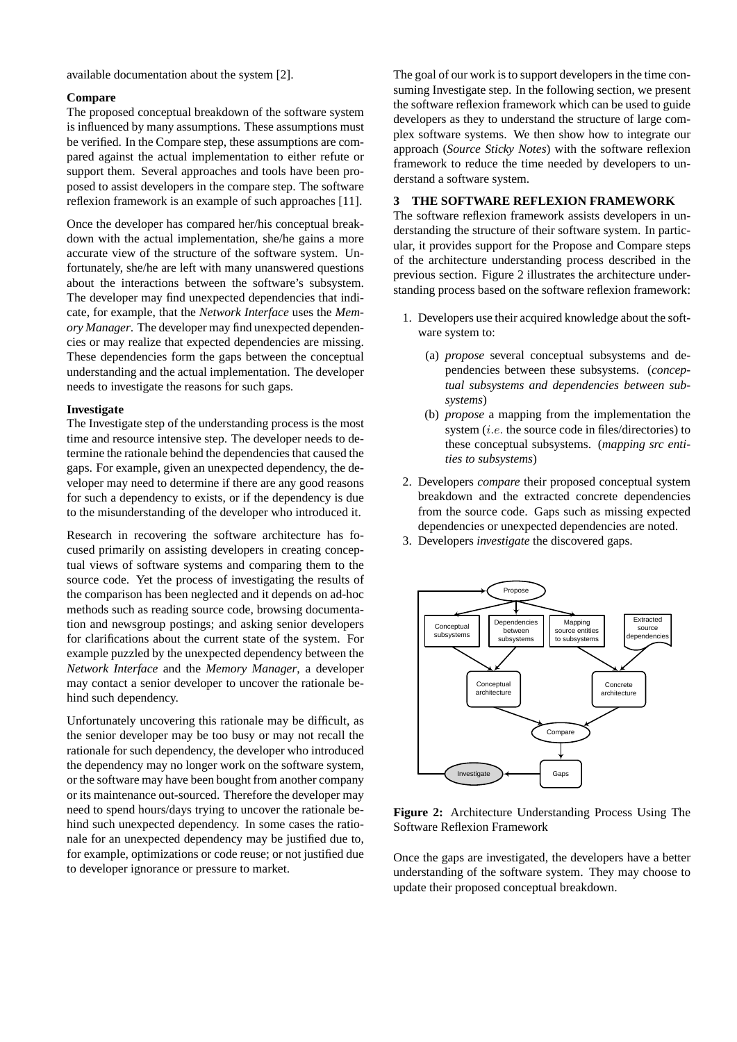available documentation about the system [2].

# **Compare**

The proposed conceptual breakdown of the software system is influenced by many assumptions. These assumptions must be verified. In the Compare step, these assumptions are compared against the actual implementation to either refute or support them. Several approaches and tools have been proposed to assist developers in the compare step. The software reflexion framework is an example of such approaches [11].

Once the developer has compared her/his conceptual breakdown with the actual implementation, she/he gains a more accurate view of the structure of the software system. Unfortunately, she/he are left with many unanswered questions about the interactions between the software's subsystem. The developer may find unexpected dependencies that indicate, for example, that the *Network Interface* uses the *Memory Manager*. The developer may find unexpected dependencies or may realize that expected dependencies are missing. These dependencies form the gaps between the conceptual understanding and the actual implementation. The developer needs to investigate the reasons for such gaps.

#### **Investigate**

The Investigate step of the understanding process is the most time and resource intensive step. The developer needs to determine the rationale behind the dependencies that caused the gaps. For example, given an unexpected dependency, the developer may need to determine if there are any good reasons for such a dependency to exists, or if the dependency is due to the misunderstanding of the developer who introduced it.

Research in recovering the software architecture has focused primarily on assisting developers in creating conceptual views of software systems and comparing them to the source code. Yet the process of investigating the results of the comparison has been neglected and it depends on ad-hoc methods such as reading source code, browsing documentation and newsgroup postings; and asking senior developers for clarifications about the current state of the system. For example puzzled by the unexpected dependency between the *Network Interface* and the *Memory Manager*, a developer may contact a senior developer to uncover the rationale behind such dependency.

Unfortunately uncovering this rationale may be difficult, as the senior developer may be too busy or may not recall the rationale for such dependency, the developer who introduced the dependency may no longer work on the software system, or the software may have been bought from another company or its maintenance out-sourced. Therefore the developer may need to spend hours/days trying to uncover the rationale behind such unexpected dependency. In some cases the rationale for an unexpected dependency may be justified due to, for example, optimizations or code reuse; or not justified due to developer ignorance or pressure to market.

The goal of our work is to support developers in the time consuming Investigate step. In the following section, we present the software reflexion framework which can be used to guide developers as they to understand the structure of large complex software systems. We then show how to integrate our approach (*Source Sticky Notes*) with the software reflexion framework to reduce the time needed by developers to understand a software system.

#### **3 THE SOFTWARE REFLEXION FRAMEWORK**

The software reflexion framework assists developers in understanding the structure of their software system. In particular, it provides support for the Propose and Compare steps of the architecture understanding process described in the previous section. Figure 2 illustrates the architecture understanding process based on the software reflexion framework:

- 1. Developers use their acquired knowledge about the software system to:
	- (a) *propose* several conceptual subsystems and dependencies between these subsystems. (*conceptual subsystems and dependencies between subsystems*)
	- (b) *propose* a mapping from the implementation the system *(i.e.* the source code in files/directories) to these conceptual subsystems. (*mapping src entities to subsystems*)
- 2. Developers *compare* their proposed conceptual system breakdown and the extracted concrete dependencies from the source code. Gaps such as missing expected dependencies or unexpected dependencies are noted.
- 3. Developers *investigate* the discovered gaps.



**Figure 2:** Architecture Understanding Process Using The Software Reflexion Framework

Once the gaps are investigated, the developers have a better understanding of the software system. They may choose to update their proposed conceptual breakdown.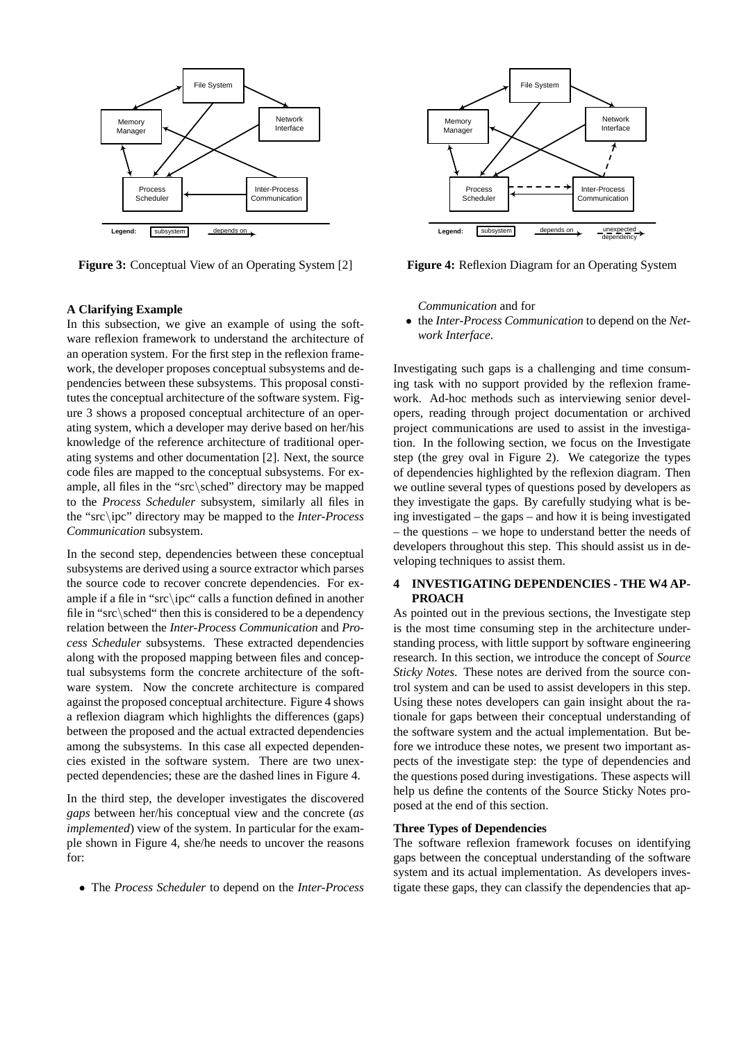

**Figure 3:** Conceptual View of an Operating System [2]

## **A Clarifying Example**

In this subsection, we give an example of using the software reflexion framework to understand the architecture of an operation system. For the first step in the reflexion framework, the developer proposes conceptual subsystems and dependencies between these subsystems. This proposal constitutes the conceptual architecture of the software system. Figure 3 shows a proposed conceptual architecture of an operating system, which a developer may derive based on her/his knowledge of the reference architecture of traditional operating systems and other documentation [2]. Next, the source code files are mapped to the conceptual subsystems. For example, all files in the "src\sched" directory may be mapped to the *Process Scheduler* subsystem, similarly all files in the "src\ipc" directory may be mapped to the *Inter-Process Communication* subsystem.

In the second step, dependencies between these conceptual subsystems are derived using a source extractor which parses the source code to recover concrete dependencies. For example if a file in "src\ipc" calls a function defined in another file in "src\sched" then this is considered to be a dependency relation between the *Inter-Process Communication* and *Process Scheduler* subsystems. These extracted dependencies along with the proposed mapping between files and conceptual subsystems form the concrete architecture of the software system. Now the concrete architecture is compared against the proposed conceptual architecture. Figure 4 shows a reflexion diagram which highlights the differences (gaps) between the proposed and the actual extracted dependencies among the subsystems. In this case all expected dependencies existed in the software system. There are two unexpected dependencies; these are the dashed lines in Figure 4.

In the third step, the developer investigates the discovered *gaps* between her/his conceptual view and the concrete (*as implemented*) view of the system. In particular for the example shown in Figure 4, she/he needs to uncover the reasons for:

• The *Process Scheduler* to depend on the *Inter-Process*



**Figure 4:** Reflexion Diagram for an Operating System

*Communication* and for

• the *Inter-Process Communication* to depend on the *Network Interface*.

Investigating such gaps is a challenging and time consuming task with no support provided by the reflexion framework. Ad-hoc methods such as interviewing senior developers, reading through project documentation or archived project communications are used to assist in the investigation. In the following section, we focus on the Investigate step (the grey oval in Figure 2). We categorize the types of dependencies highlighted by the reflexion diagram. Then we outline several types of questions posed by developers as they investigate the gaps. By carefully studying what is being investigated – the gaps – and how it is being investigated – the questions – we hope to understand better the needs of developers throughout this step. This should assist us in developing techniques to assist them.

# **4 INVESTIGATING DEPENDENCIES - THE W4 AP-PROACH**

As pointed out in the previous sections, the Investigate step is the most time consuming step in the architecture understanding process, with little support by software engineering research. In this section, we introduce the concept of *Source Sticky Notes*. These notes are derived from the source control system and can be used to assist developers in this step. Using these notes developers can gain insight about the rationale for gaps between their conceptual understanding of the software system and the actual implementation. But before we introduce these notes, we present two important aspects of the investigate step: the type of dependencies and the questions posed during investigations. These aspects will help us define the contents of the Source Sticky Notes proposed at the end of this section.

#### **Three Types of Dependencies**

The software reflexion framework focuses on identifying gaps between the conceptual understanding of the software system and its actual implementation. As developers investigate these gaps, they can classify the dependencies that ap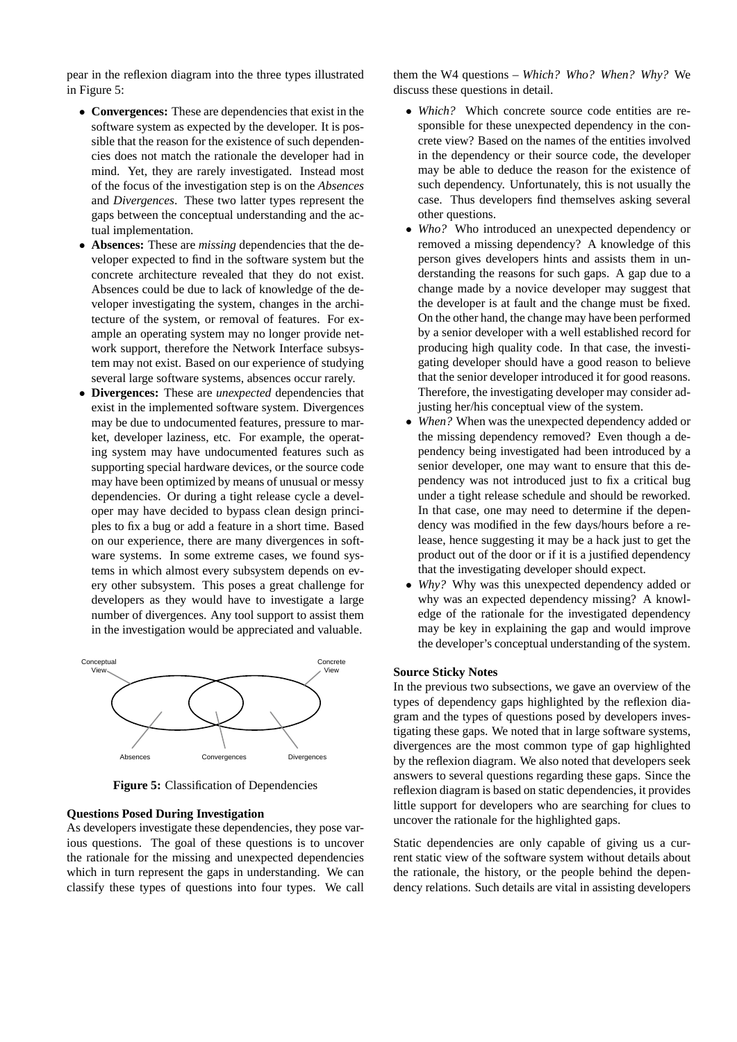pear in the reflexion diagram into the three types illustrated in Figure 5:

- **Convergences:** These are dependencies that exist in the software system as expected by the developer. It is possible that the reason for the existence of such dependencies does not match the rationale the developer had in mind. Yet, they are rarely investigated. Instead most of the focus of the investigation step is on the *Absences* and *Divergences*. These two latter types represent the gaps between the conceptual understanding and the actual implementation.
- **Absences:** These are *missing* dependencies that the developer expected to find in the software system but the concrete architecture revealed that they do not exist. Absences could be due to lack of knowledge of the developer investigating the system, changes in the architecture of the system, or removal of features. For example an operating system may no longer provide network support, therefore the Network Interface subsystem may not exist. Based on our experience of studying several large software systems, absences occur rarely.
- **Divergences:** These are *unexpected* dependencies that exist in the implemented software system. Divergences may be due to undocumented features, pressure to market, developer laziness, etc. For example, the operating system may have undocumented features such as supporting special hardware devices, or the source code may have been optimized by means of unusual or messy dependencies. Or during a tight release cycle a developer may have decided to bypass clean design principles to fix a bug or add a feature in a short time. Based on our experience, there are many divergences in software systems. In some extreme cases, we found systems in which almost every subsystem depends on every other subsystem. This poses a great challenge for developers as they would have to investigate a large number of divergences. Any tool support to assist them in the investigation would be appreciated and valuable.



**Figure 5:** Classification of Dependencies

## **Questions Posed During Investigation**

As developers investigate these dependencies, they pose various questions. The goal of these questions is to uncover the rationale for the missing and unexpected dependencies which in turn represent the gaps in understanding. We can classify these types of questions into four types. We call them the W4 questions – *Which? Who? When? Why?* We discuss these questions in detail.

- *Which?* Which concrete source code entities are responsible for these unexpected dependency in the concrete view? Based on the names of the entities involved in the dependency or their source code, the developer may be able to deduce the reason for the existence of such dependency. Unfortunately, this is not usually the case. Thus developers find themselves asking several other questions.
- *Who?* Who introduced an unexpected dependency or removed a missing dependency? A knowledge of this person gives developers hints and assists them in understanding the reasons for such gaps. A gap due to a change made by a novice developer may suggest that the developer is at fault and the change must be fixed. On the other hand, the change may have been performed by a senior developer with a well established record for producing high quality code. In that case, the investigating developer should have a good reason to believe that the senior developer introduced it for good reasons. Therefore, the investigating developer may consider adjusting her/his conceptual view of the system.
- *When?* When was the unexpected dependency added or the missing dependency removed? Even though a dependency being investigated had been introduced by a senior developer, one may want to ensure that this dependency was not introduced just to fix a critical bug under a tight release schedule and should be reworked. In that case, one may need to determine if the dependency was modified in the few days/hours before a release, hence suggesting it may be a hack just to get the product out of the door or if it is a justified dependency that the investigating developer should expect.
- *Why?* Why was this unexpected dependency added or why was an expected dependency missing? A knowledge of the rationale for the investigated dependency may be key in explaining the gap and would improve the developer's conceptual understanding of the system.

## **Source Sticky Notes**

In the previous two subsections, we gave an overview of the types of dependency gaps highlighted by the reflexion diagram and the types of questions posed by developers investigating these gaps. We noted that in large software systems, divergences are the most common type of gap highlighted by the reflexion diagram. We also noted that developers seek answers to several questions regarding these gaps. Since the reflexion diagram is based on static dependencies, it provides little support for developers who are searching for clues to uncover the rationale for the highlighted gaps.

Static dependencies are only capable of giving us a current static view of the software system without details about the rationale, the history, or the people behind the dependency relations. Such details are vital in assisting developers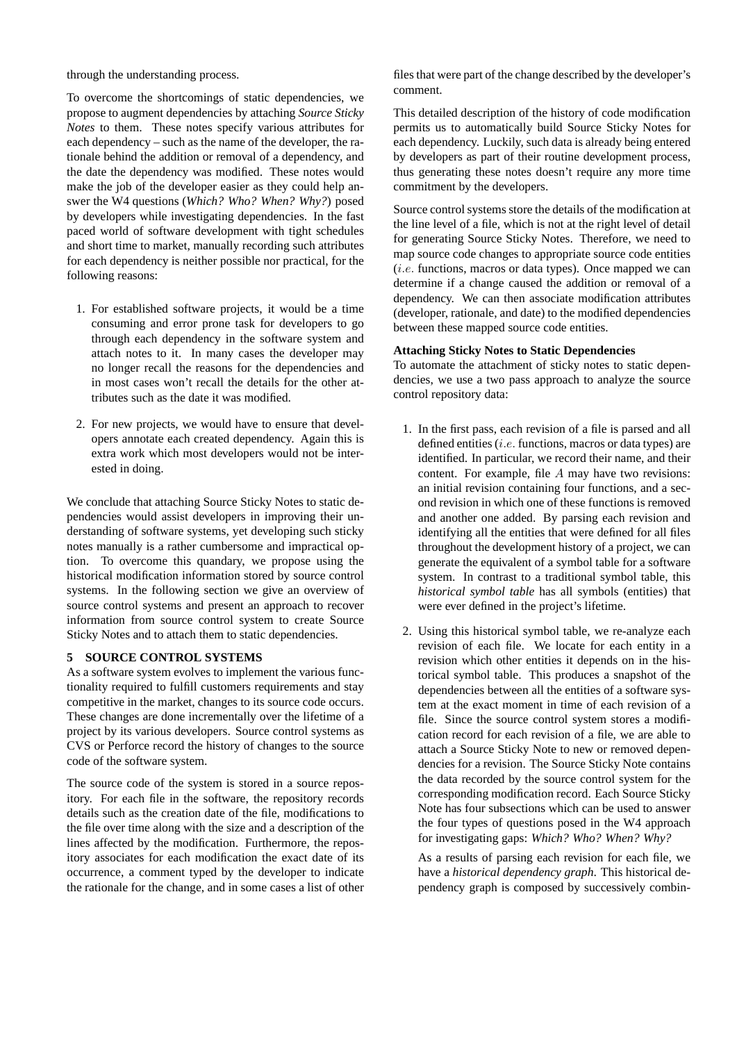through the understanding process.

To overcome the shortcomings of static dependencies, we propose to augment dependencies by attaching *Source Sticky Notes* to them. These notes specify various attributes for each dependency – such as the name of the developer, the rationale behind the addition or removal of a dependency, and the date the dependency was modified. These notes would make the job of the developer easier as they could help answer the W4 questions (*Which? Who? When? Why?*) posed by developers while investigating dependencies. In the fast paced world of software development with tight schedules and short time to market, manually recording such attributes for each dependency is neither possible nor practical, for the following reasons:

- 1. For established software projects, it would be a time consuming and error prone task for developers to go through each dependency in the software system and attach notes to it. In many cases the developer may no longer recall the reasons for the dependencies and in most cases won't recall the details for the other attributes such as the date it was modified.
- 2. For new projects, we would have to ensure that developers annotate each created dependency. Again this is extra work which most developers would not be interested in doing.

We conclude that attaching Source Sticky Notes to static dependencies would assist developers in improving their understanding of software systems, yet developing such sticky notes manually is a rather cumbersome and impractical option. To overcome this quandary, we propose using the historical modification information stored by source control systems. In the following section we give an overview of source control systems and present an approach to recover information from source control system to create Source Sticky Notes and to attach them to static dependencies.

## **5 SOURCE CONTROL SYSTEMS**

As a software system evolves to implement the various functionality required to fulfill customers requirements and stay competitive in the market, changes to its source code occurs. These changes are done incrementally over the lifetime of a project by its various developers. Source control systems as CVS or Perforce record the history of changes to the source code of the software system.

The source code of the system is stored in a source repository. For each file in the software, the repository records details such as the creation date of the file, modifications to the file over time along with the size and a description of the lines affected by the modification. Furthermore, the repository associates for each modification the exact date of its occurrence, a comment typed by the developer to indicate the rationale for the change, and in some cases a list of other files that were part of the change described by the developer's comment.

This detailed description of the history of code modification permits us to automatically build Source Sticky Notes for each dependency. Luckily, such data is already being entered by developers as part of their routine development process, thus generating these notes doesn't require any more time commitment by the developers.

Source control systems store the details of the modification at the line level of a file, which is not at the right level of detail for generating Source Sticky Notes. Therefore, we need to map source code changes to appropriate source code entities  $(i.e.$  functions, macros or data types). Once mapped we can determine if a change caused the addition or removal of a dependency. We can then associate modification attributes (developer, rationale, and date) to the modified dependencies between these mapped source code entities.

## **Attaching Sticky Notes to Static Dependencies**

To automate the attachment of sticky notes to static dependencies, we use a two pass approach to analyze the source control repository data:

- 1. In the first pass, each revision of a file is parsed and all defined entities (i.e. functions, macros or data types) are identified. In particular, we record their name, and their content. For example, file A may have two revisions: an initial revision containing four functions, and a second revision in which one of these functions is removed and another one added. By parsing each revision and identifying all the entities that were defined for all files throughout the development history of a project, we can generate the equivalent of a symbol table for a software system. In contrast to a traditional symbol table, this *historical symbol table* has all symbols (entities) that were ever defined in the project's lifetime.
- 2. Using this historical symbol table, we re-analyze each revision of each file. We locate for each entity in a revision which other entities it depends on in the historical symbol table. This produces a snapshot of the dependencies between all the entities of a software system at the exact moment in time of each revision of a file. Since the source control system stores a modification record for each revision of a file, we are able to attach a Source Sticky Note to new or removed dependencies for a revision. The Source Sticky Note contains the data recorded by the source control system for the corresponding modification record. Each Source Sticky Note has four subsections which can be used to answer the four types of questions posed in the W4 approach for investigating gaps: *Which? Who? When? Why?*

As a results of parsing each revision for each file, we have a *historical dependency graph*. This historical dependency graph is composed by successively combin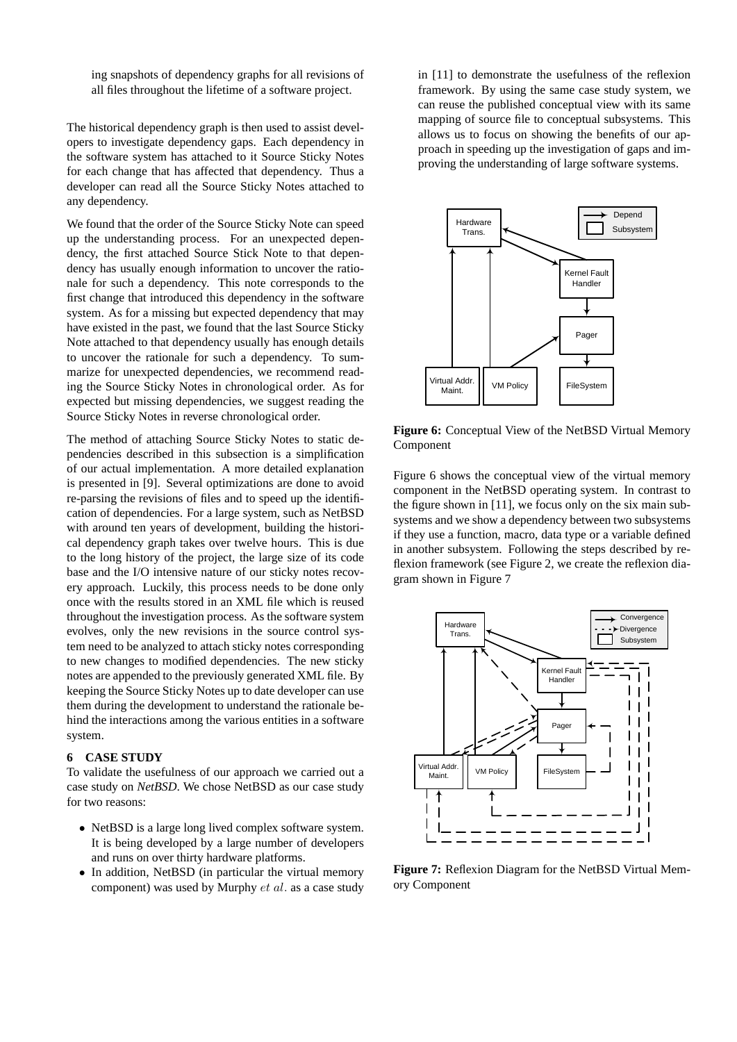ing snapshots of dependency graphs for all revisions of all files throughout the lifetime of a software project.

The historical dependency graph is then used to assist developers to investigate dependency gaps. Each dependency in the software system has attached to it Source Sticky Notes for each change that has affected that dependency. Thus a developer can read all the Source Sticky Notes attached to any dependency.

We found that the order of the Source Sticky Note can speed up the understanding process. For an unexpected dependency, the first attached Source Stick Note to that dependency has usually enough information to uncover the rationale for such a dependency. This note corresponds to the first change that introduced this dependency in the software system. As for a missing but expected dependency that may have existed in the past, we found that the last Source Sticky Note attached to that dependency usually has enough details to uncover the rationale for such a dependency. To summarize for unexpected dependencies, we recommend reading the Source Sticky Notes in chronological order. As for expected but missing dependencies, we suggest reading the Source Sticky Notes in reverse chronological order.

The method of attaching Source Sticky Notes to static dependencies described in this subsection is a simplification of our actual implementation. A more detailed explanation is presented in [9]. Several optimizations are done to avoid re-parsing the revisions of files and to speed up the identification of dependencies. For a large system, such as NetBSD with around ten years of development, building the historical dependency graph takes over twelve hours. This is due to the long history of the project, the large size of its code base and the I/O intensive nature of our sticky notes recovery approach. Luckily, this process needs to be done only once with the results stored in an XML file which is reused throughout the investigation process. As the software system evolves, only the new revisions in the source control system need to be analyzed to attach sticky notes corresponding to new changes to modified dependencies. The new sticky notes are appended to the previously generated XML file. By keeping the Source Sticky Notes up to date developer can use them during the development to understand the rationale behind the interactions among the various entities in a software system.

#### **6 CASE STUDY**

To validate the usefulness of our approach we carried out a case study on *NetBSD*. We chose NetBSD as our case study for two reasons:

- NetBSD is a large long lived complex software system. It is being developed by a large number of developers and runs on over thirty hardware platforms.
- In addition, NetBSD (in particular the virtual memory component) was used by Murphy et al. as a case study

in [11] to demonstrate the usefulness of the reflexion framework. By using the same case study system, we can reuse the published conceptual view with its same mapping of source file to conceptual subsystems. This allows us to focus on showing the benefits of our approach in speeding up the investigation of gaps and improving the understanding of large software systems.



**Figure 6:** Conceptual View of the NetBSD Virtual Memory Component

Figure 6 shows the conceptual view of the virtual memory component in the NetBSD operating system. In contrast to the figure shown in [11], we focus only on the six main subsystems and we show a dependency between two subsystems if they use a function, macro, data type or a variable defined in another subsystem. Following the steps described by reflexion framework (see Figure 2, we create the reflexion diagram shown in Figure 7



**Figure 7:** Reflexion Diagram for the NetBSD Virtual Memory Component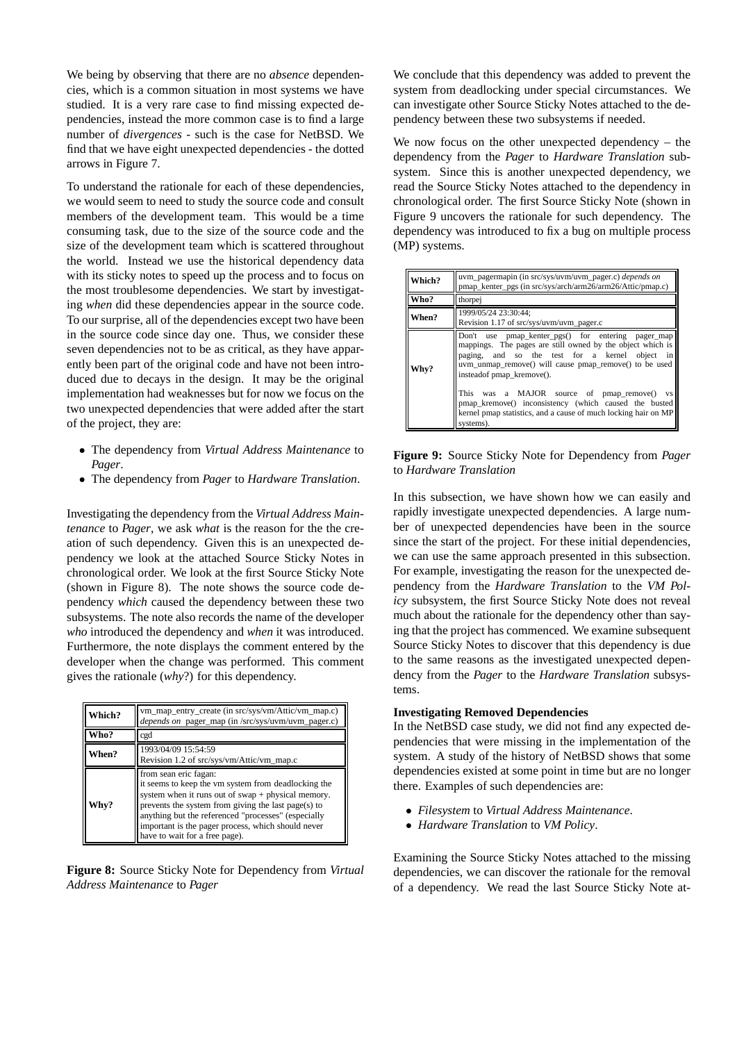We being by observing that there are no *absence* dependencies, which is a common situation in most systems we have studied. It is a very rare case to find missing expected dependencies, instead the more common case is to find a large number of *divergences* - such is the case for NetBSD. We find that we have eight unexpected dependencies - the dotted arrows in Figure 7.

To understand the rationale for each of these dependencies, we would seem to need to study the source code and consult members of the development team. This would be a time consuming task, due to the size of the source code and the size of the development team which is scattered throughout the world. Instead we use the historical dependency data with its sticky notes to speed up the process and to focus on the most troublesome dependencies. We start by investigating *when* did these dependencies appear in the source code. To our surprise, all of the dependencies except two have been in the source code since day one. Thus, we consider these seven dependencies not to be as critical, as they have apparently been part of the original code and have not been introduced due to decays in the design. It may be the original implementation had weaknesses but for now we focus on the two unexpected dependencies that were added after the start of the project, they are:

- The dependency from *Virtual Address Maintenance* to *Pager*.
- The dependency from *Pager* to *Hardware Translation*.

Investigating the dependency from the *Virtual Address Maintenance* to *Pager*, we ask *what* is the reason for the the creation of such dependency. Given this is an unexpected dependency we look at the attached Source Sticky Notes in chronological order. We look at the first Source Sticky Note (shown in Figure 8). The note shows the source code dependency *which* caused the dependency between these two subsystems. The note also records the name of the developer *who* introduced the dependency and *when* it was introduced. Furthermore, the note displays the comment entered by the developer when the change was performed. This comment gives the rationale (*why*?) for this dependency.

| Which? | vm_map_entry_create (in src/sys/vm/Attic/vm_map.c)<br>depends on pager_map (in/src/sys/uvm/uvm_pager.c)                                                                                                                                                                                                                                    |
|--------|--------------------------------------------------------------------------------------------------------------------------------------------------------------------------------------------------------------------------------------------------------------------------------------------------------------------------------------------|
| Who?   | cgd                                                                                                                                                                                                                                                                                                                                        |
| When?  | 1993/04/09 15:54:59<br>Revision 1.2 of src/sys/vm/Attic/vm_map.c                                                                                                                                                                                                                                                                           |
| Why?   | from sean eric fagan:<br>it seems to keep the vm system from deadlocking the<br>system when it runs out of $swap$ + physical memory.<br>prevents the system from giving the last page(s) to<br>anything but the referenced "processes" (especially<br>important is the pager process, which should never<br>have to wait for a free page). |

**Figure 8:** Source Sticky Note for Dependency from *Virtual Address Maintenance* to *Pager*

We conclude that this dependency was added to prevent the system from deadlocking under special circumstances. We can investigate other Source Sticky Notes attached to the dependency between these two subsystems if needed.

We now focus on the other unexpected dependency – the dependency from the *Pager* to *Hardware Translation* subsystem. Since this is another unexpected dependency, we read the Source Sticky Notes attached to the dependency in chronological order. The first Source Sticky Note (shown in Figure 9 uncovers the rationale for such dependency. The dependency was introduced to fix a bug on multiple process (MP) systems.

| Which? | uvm_pagermapin (in src/sys/uvm/uvm_pager.c) depends on<br>pmap kenter pgs (in src/sys/arch/arm26/arm26/Attic/pmap.c)                                                                                                                                                                                                                                                                                                                                           |
|--------|----------------------------------------------------------------------------------------------------------------------------------------------------------------------------------------------------------------------------------------------------------------------------------------------------------------------------------------------------------------------------------------------------------------------------------------------------------------|
| Who?   | thorpej                                                                                                                                                                                                                                                                                                                                                                                                                                                        |
| When?  | 1999/05/24 23:30:44;<br>Revision 1.17 of src/sys/uvm/uvm pager.c                                                                                                                                                                                                                                                                                                                                                                                               |
| Why?   | Don't use pmap_kenter_pgs() for entering pager_map<br>mappings. The pages are still owned by the object which is<br>paging, and so the test for a kernel object in<br>uvm unmap remove() will cause pmap remove() to be used<br>instead of pmap kremove().<br>was a MAJOR source of pmap remove()<br>This<br><b>VS</b><br>pmap kremove() inconsistency (which caused the busted<br>kernel pmap statistics, and a cause of much locking hair on MP<br>systems). |

# **Figure 9:** Source Sticky Note for Dependency from *Pager* to *Hardware Translation*

In this subsection, we have shown how we can easily and rapidly investigate unexpected dependencies. A large number of unexpected dependencies have been in the source since the start of the project. For these initial dependencies, we can use the same approach presented in this subsection. For example, investigating the reason for the unexpected dependency from the *Hardware Translation* to the *VM Policy* subsystem, the first Source Sticky Note does not reveal much about the rationale for the dependency other than saying that the project has commenced. We examine subsequent Source Sticky Notes to discover that this dependency is due to the same reasons as the investigated unexpected dependency from the *Pager* to the *Hardware Translation* subsystems.

## **Investigating Removed Dependencies**

In the NetBSD case study, we did not find any expected dependencies that were missing in the implementation of the system. A study of the history of NetBSD shows that some dependencies existed at some point in time but are no longer there. Examples of such dependencies are:

- *Filesystem* to *Virtual Address Maintenance*.
- *Hardware Translation* to *VM Policy*.

Examining the Source Sticky Notes attached to the missing dependencies, we can discover the rationale for the removal of a dependency. We read the last Source Sticky Note at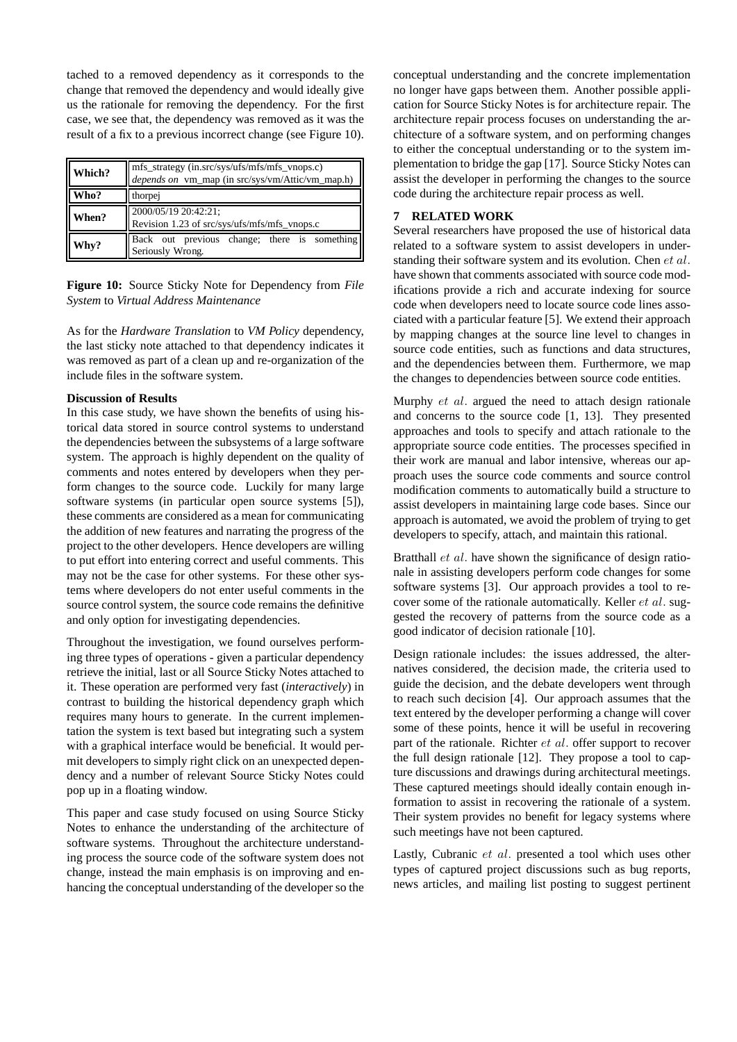tached to a removed dependency as it corresponds to the change that removed the dependency and would ideally give us the rationale for removing the dependency. For the first case, we see that, the dependency was removed as it was the result of a fix to a previous incorrect change (see Figure 10).

| Which? | mfs_strategy (in.src/sys/ufs/mfs/mfs_vnops.c)<br>depends on vm_map (in src/sys/vm/Attic/vm_map.h) |
|--------|---------------------------------------------------------------------------------------------------|
| Who?   | thorpej                                                                                           |
| When?  | 2000/05/19 20:42:21;<br>Revision 1.23 of src/sys/ufs/mfs/mfs_vnops.c                              |
| Why?   | Back out previous change; there is something<br>Seriously Wrong.                                  |

**Figure 10:** Source Sticky Note for Dependency from *File System* to *Virtual Address Maintenance*

As for the *Hardware Translation* to *VM Policy* dependency, the last sticky note attached to that dependency indicates it was removed as part of a clean up and re-organization of the include files in the software system.

# **Discussion of Results**

In this case study, we have shown the benefits of using historical data stored in source control systems to understand the dependencies between the subsystems of a large software system. The approach is highly dependent on the quality of comments and notes entered by developers when they perform changes to the source code. Luckily for many large software systems (in particular open source systems [5]), these comments are considered as a mean for communicating the addition of new features and narrating the progress of the project to the other developers. Hence developers are willing to put effort into entering correct and useful comments. This may not be the case for other systems. For these other systems where developers do not enter useful comments in the source control system, the source code remains the definitive and only option for investigating dependencies.

Throughout the investigation, we found ourselves performing three types of operations - given a particular dependency retrieve the initial, last or all Source Sticky Notes attached to it. These operation are performed very fast (*interactively*) in contrast to building the historical dependency graph which requires many hours to generate. In the current implementation the system is text based but integrating such a system with a graphical interface would be beneficial. It would permit developers to simply right click on an unexpected dependency and a number of relevant Source Sticky Notes could pop up in a floating window.

This paper and case study focused on using Source Sticky Notes to enhance the understanding of the architecture of software systems. Throughout the architecture understanding process the source code of the software system does not change, instead the main emphasis is on improving and enhancing the conceptual understanding of the developer so the conceptual understanding and the concrete implementation no longer have gaps between them. Another possible application for Source Sticky Notes is for architecture repair. The architecture repair process focuses on understanding the architecture of a software system, and on performing changes to either the conceptual understanding or to the system implementation to bridge the gap [17]. Source Sticky Notes can assist the developer in performing the changes to the source code during the architecture repair process as well.

# **7 RELATED WORK**

Several researchers have proposed the use of historical data related to a software system to assist developers in understanding their software system and its evolution. Chen et al. have shown that comments associated with source code modifications provide a rich and accurate indexing for source code when developers need to locate source code lines associated with a particular feature [5]. We extend their approach by mapping changes at the source line level to changes in source code entities, such as functions and data structures, and the dependencies between them. Furthermore, we map the changes to dependencies between source code entities.

Murphy *et al.* argued the need to attach design rationale and concerns to the source code [1, 13]. They presented approaches and tools to specify and attach rationale to the appropriate source code entities. The processes specified in their work are manual and labor intensive, whereas our approach uses the source code comments and source control modification comments to automatically build a structure to assist developers in maintaining large code bases. Since our approach is automated, we avoid the problem of trying to get developers to specify, attach, and maintain this rational.

Bratthall *et al.* have shown the significance of design rationale in assisting developers perform code changes for some software systems [3]. Our approach provides a tool to recover some of the rationale automatically. Keller et al. suggested the recovery of patterns from the source code as a good indicator of decision rationale [10].

Design rationale includes: the issues addressed, the alternatives considered, the decision made, the criteria used to guide the decision, and the debate developers went through to reach such decision [4]. Our approach assumes that the text entered by the developer performing a change will cover some of these points, hence it will be useful in recovering part of the rationale. Richter et al. offer support to recover the full design rationale [12]. They propose a tool to capture discussions and drawings during architectural meetings. These captured meetings should ideally contain enough information to assist in recovering the rationale of a system. Their system provides no benefit for legacy systems where such meetings have not been captured.

Lastly, Cubranic et al. presented a tool which uses other types of captured project discussions such as bug reports, news articles, and mailing list posting to suggest pertinent